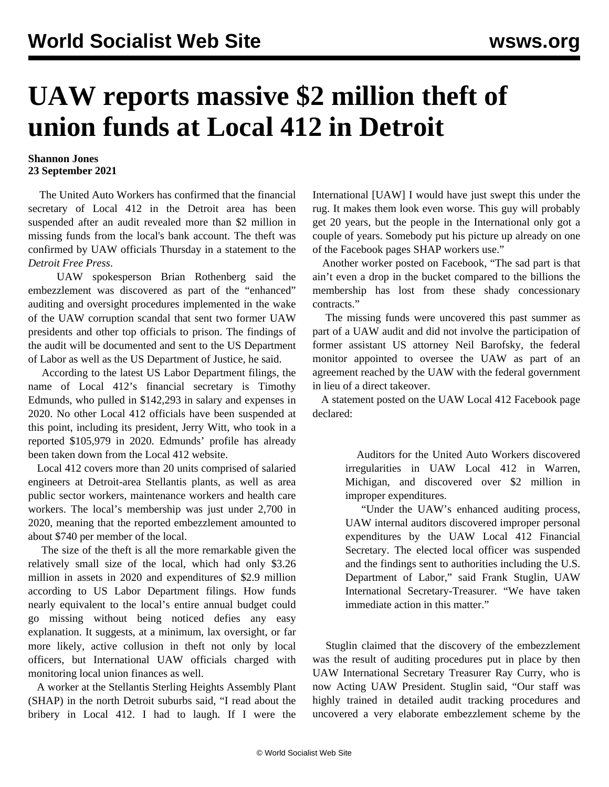## **UAW reports massive \$2 million theft of union funds at Local 412 in Detroit**

## **Shannon Jones 23 September 2021**

 The United Auto Workers has confirmed that the financial secretary of Local 412 in the Detroit area has been suspended after an audit revealed more than \$2 million in missing funds from the local's bank account. The theft was confirmed by UAW officials Thursday in a statement to the *Detroit Free Press*.

 UAW spokesperson Brian Rothenberg said the embezzlement was discovered as part of the "enhanced" auditing and oversight procedures implemented in the wake of the UAW corruption scandal that sent two former UAW presidents and other top officials to prison. The findings of the audit will be documented and sent to the US Department of Labor as well as the US Department of Justice, he said.

 According to the latest US Labor Department [filings](https://olmsapps.dol.gov/query/orgReport.do?rptId=751618&rptForm=LM2Form), the name of Local 412's financial secretary is Timothy Edmunds, who pulled in \$142,293 in salary and expenses in 2020. No other Local 412 officials have been suspended at this point, including its president, Jerry Witt, who took in a reported \$105,979 in 2020. Edmunds' profile has already been taken down from the Local 412 website.

 Local 412 covers more than 20 units comprised of salaried engineers at Detroit-area Stellantis plants, as well as area public sector workers, maintenance workers and health care workers. The local's membership was just under 2,700 in 2020, meaning that the reported embezzlement amounted to about \$740 per member of the local.

 The size of the theft is all the more remarkable given the relatively small size of the local, which had only \$3.26 million in assets in 2020 and expenditures of \$2.9 million according to US Labor Department [filings](https://olmsapps.dol.gov/query/orgReport.do?rptId=751618&rptForm=LM2Form). How funds nearly equivalent to the local's entire annual budget could go missing without being noticed defies any easy explanation. It suggests, at a minimum, lax oversight, or far more likely, active collusion in theft not only by local officers, but International UAW officials charged with monitoring local union finances as well.

 A worker at the Stellantis Sterling Heights Assembly Plant (SHAP) in the north Detroit suburbs said, "I read about the bribery in Local 412. I had to laugh. If I were the International [UAW] I would have just swept this under the rug. It makes them look even worse. This guy will probably get 20 years, but the people in the International only got a couple of years. Somebody put his picture up already on one of the Facebook pages SHAP workers use."

 Another worker posted on Facebook, "The sad part is that ain't even a drop in the bucket compared to the billions the membership has lost from these shady concessionary contracts."

 The missing funds were uncovered this past summer as part of a UAW audit and did not involve the participation of former assistant US attorney Neil Barofsky, the federal monitor appointed to oversee the UAW as part of an agreement reached by the UAW with the federal government in lieu of a direct takeover.

 A statement posted on the UAW Local 412 Facebook page declared:

> Auditors for the United Auto Workers discovered irregularities in UAW Local 412 in Warren, Michigan, and discovered over \$2 million in improper expenditures.

> "Under the UAW's enhanced auditing process, UAW internal auditors discovered improper personal expenditures by the UAW Local 412 Financial Secretary. The elected local officer was suspended and the findings sent to authorities including the U.S. Department of Labor," said Frank Stuglin, UAW International Secretary-Treasurer. "We have taken immediate action in this matter."

 Stuglin claimed that the discovery of the embezzlement was the result of auditing procedures put in place by then UAW International Secretary Treasurer Ray Curry, who is now Acting UAW President. Stuglin said, "Our staff was highly trained in detailed audit tracking procedures and uncovered a very elaborate embezzlement scheme by the